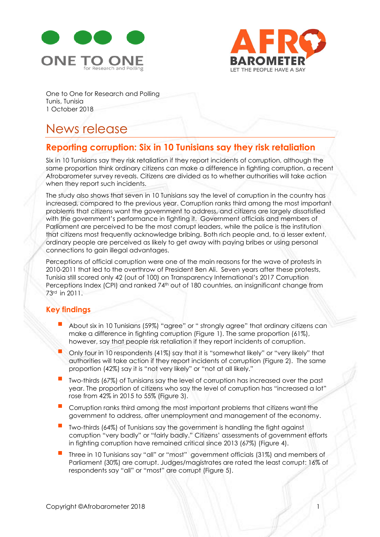



One to One for Research and Polling Tunis, Tunisia 1 October 2018

# News release

## **Reporting corruption: Six in 10 Tunisians say they risk retaliation**

Six in 10 Tunisians say they risk retaliation if they report incidents of corruption, although the same proportion think ordinary citizens can make a difference in fighting corruption, a recent Afrobarometer survey reveals. Citizens are divided as to whether authorities will take action when they report such incidents.

The study also shows that seven in 10 Tunisians say the level of corruption in the country has increased, compared to the previous year. Corruption ranks third among the most important problems that citizens want the government to address, and citizens are largely dissatisfied with the government's performance in fighting it. Government officials and members of Parliament are perceived to be the most corrupt leaders, while the police is the institution that citizens most frequently acknowledge bribing. Both rich people and, to a lesser extent, ordinary people are perceived as likely to get away with paying bribes or using personal connections to gain illegal advantages.

Perceptions of official corruption were one of the main reasons for the wave of protests in 2010-2011 that led to the overthrow of President Ben Ali. Seven years after these protests, Tunisia still scored only 42 (out of 100) on Transparency International's 2017 Corruption Perceptions Index (CPI) and ranked 74<sup>th</sup> out of 180 countries, an insignificant change from 73rd in 2011.

### **Key findings**

- About six in 10 Tunisians (59%) "agree" or " strongly agree" that ordinary citizens can make a difference in fighting corruption (Figure 1). The same proportion (61%), however, say that people risk retaliation if they report incidents of corruption.
- Only four in 10 respondents (41%) say that it is "somewhat likely" or "very likely" that authorities will take action if they report incidents of corruption (Figure 2). The same proportion (42%) say it is "not very likely" or "not at all likely."
- Two-thirds (67%) of Tunisians say the level of corruption has increased over the past year. The proportion of citizens who say the level of corruption has "increased a lot" rose from 42% in 2015 to 55% (Figure 3).
- Corruption ranks third among the most important problems that citizens want the government to address, after unemployment and management of the economy.
- Two-thirds (64%) of Tunisians say the government is handling the fight against corruption "very badly" or "fairly badly." Citizens' assessments of government efforts in fighting corruption have remained critical since 2013 (67%) (Figure 4).
- Three in 10 Tunisians say "all" or "most" government officials (31%) and members of Parliament (30%) are corrupt. Judges/magistrates are rated the least corrupt: 16% of respondents say "all" or "most" are corrupt (Figure 5).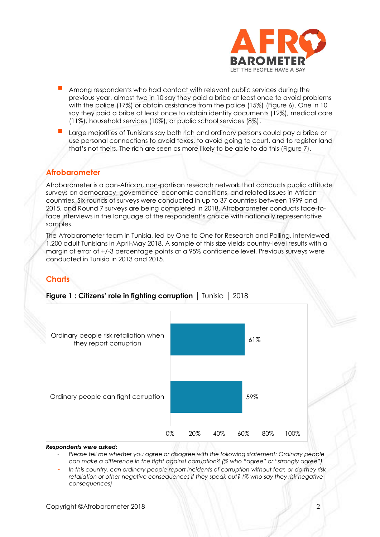

- Among respondents who had contact with relevant public services during the previous year, almost two in 10 say they paid a bribe at least once to avoid problems with the police (17%) or obtain assistance from the police (15%) (Figure 6). One in 10 say they paid a bribe at least once to obtain identity documents (12%), medical care (11%), household services (10%), or public school services (8%).
- Large majorities of Tunisians say both rich and ordinary persons could pay a bribe or use personal connections to avoid taxes, to avoid going to court, and to register land that's not theirs. The rich are seen as more likely to be able to do this (Figure 7).

### **Afrobarometer**

Afrobarometer is a pan-African, non-partisan research network that conducts public attitude surveys on democracy, governance, economic conditions, and related issues in African countries. Six rounds of surveys were conducted in up to 37 countries between 1999 and 2015, and Round 7 surveys are being completed in 2018. Afrobarometer conducts face-toface interviews in the language of the respondent's choice with nationally representative samples.

The Afrobarometer team in Tunisia, led by One to One for Research and Polling, interviewed 1,200 adult Tunisians in April-May 2018. A sample of this size yields country-level results with a margin of error of +/-3 percentage points at a 95% confidence level. Previous surveys were conducted in Tunisia in 2013 and 2015.

### **Charts**



### **Figure 1 : Citizens' role in fighting corruption** │ Tunisia │ 2018

#### *Respondents were asked:*

- *Please tell me whether you agree or disagree with the following statement: Ordinary people can make a difference in the fight against corruption? (% who "agree" or "strongly agree")*
- *In this country, can ordinary people report incidents of corruption without fear, or do they risk retaliation or other negative consequences if they speak out? (% who say they risk negative consequences)*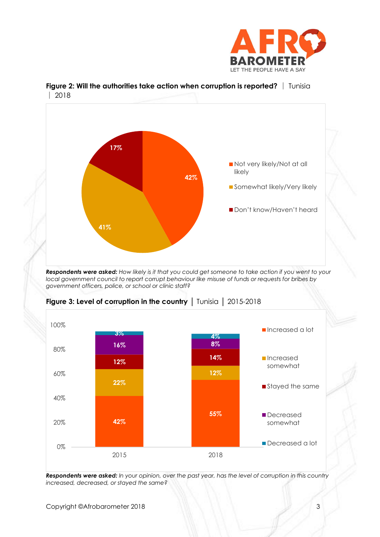



**Figure 2: Will the authorities take action when corruption is reported?** | Tunisia │ 2018

*Respondents were asked: How likely is it that you could get someone to take action if you went to your*  local government council to report corrupt behaviour like misuse of funds or requests for bribes by *government officers, police, or school or clinic staff?*



**Figure 3: Level of corruption in the country** │ Tunisia │ 2015-2018

*Respondents were asked: In your opinion, over the past year, has the level of corruption in this country increased, decreased, or stayed the same?*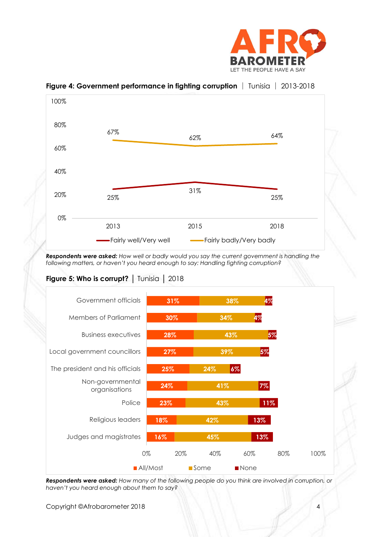



**Figure 4: Government performance in fighting corruption** │ Tunisia │ 2013-2018

*Respondents were asked: How well or badly would you say the current government is handling the following matters, or haven't you heard enough to say: Handling fighting corruption?*

### Figure 5: Who is corrupt? | Tunisia | 2018



*Respondents were asked: How many of the following people do you think are involved in corruption, or haven't you heard enough about them to say?*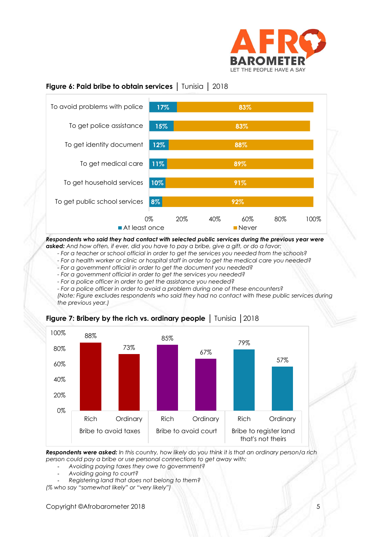

### **Figure 6: Paid bribe to obtain services** │ Tunisia │ 2018



*Respondents who said they had contact with selected public services during the previous year were asked: And how often, if ever, did you have to pay a bribe, give a gift, or do a favor:*

*- For a teacher or school official in order to get the services you needed from the schools?*

*- For a health worker or clinic or hospital staff in order to get the medical care you needed?*

- *- For a government official in order to get the document you needed?*
- *- For a government official in order to get the services you needed?*
- *- For a police officer in order to get the assistance you needed?*
- *- For a police officer in order to avoid a problem during one of these encounters?*

*(Note: Figure excludes respondents who said they had no contact with these public services during the previous year.)*



### **Figure 7: Bribery by the rich vs. ordinary people** │ Tunisia │2018

*Respondents were asked: In this country, how likely do you think it is that an ordinary person/a rich person could pay a bribe or use personal connections to get away with:*

- *Avoiding paying taxes they owe to government?*
- *Avoiding going to court?*
- *Registering land that does not belong to them?*

*(% who say "somewhat likely" or "very likely")*